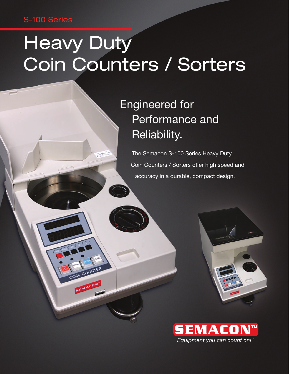### S-100 Series

# **Heavy Duty** Coin Counters / Sorters

COUNT

### Engineered for Performance and Reliability.

The Semacon S-100 Series Heavy Duty Coin Counters / Sorters offer high speed and accuracy in a durable, compact design.